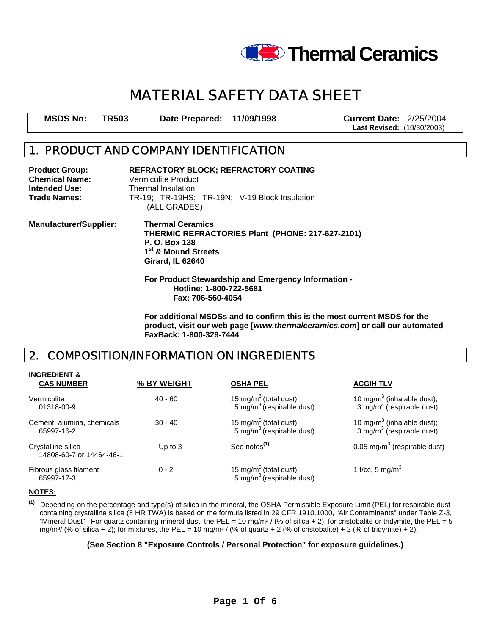

# **MATERIAL SAFETY DATA SHEET**

**MSDS No: TR503 Date Prepared: 11/09/1998 Current Date:** 2/25/2004

**Last Revised:** (10/30/2003)

### **1. PRODUCT AND COMPANY IDENTIFICATION**

| <b>Product Group:</b><br><b>Chemical Name:</b><br><b>Intended Use:</b><br>Trade Names: | <b>REFRACTORY BLOCK; REFRACTORY COATING</b><br>Vermiculite Product<br>Thermal Insulation<br>TR-19; TR-19HS; TR-19N; V-19 Block Insulation<br>(ALL GRADES)<br><b>Thermal Ceramics</b><br>THERMIC REFRACTORIES Plant (PHONE: 217-627-2101)<br>P. O. Box 138<br>1 <sup>st</sup> & Mound Streets<br><b>Girard, IL 62640</b> |  |  |
|----------------------------------------------------------------------------------------|-------------------------------------------------------------------------------------------------------------------------------------------------------------------------------------------------------------------------------------------------------------------------------------------------------------------------|--|--|
| <b>Manufacturer/Supplier:</b>                                                          |                                                                                                                                                                                                                                                                                                                         |  |  |
|                                                                                        | For Product Stewardship and Emergency Information -<br>Hotline: 1-800-722-5681                                                                                                                                                                                                                                          |  |  |

**Fax: 706-560-4054** 

**For additional MSDSs and to confirm this is the most current MSDS for the product, visit our web page [***www.thermalceramics.com***] or call our automated FaxBack: 1-800-329-7444** 

### **2. COMPOSITION/INFORMATION ON INGREDIENTS**

| <b>CAS NUMBER</b>                              | % BY WEIGHT | <b>OSHA PEL</b>                                                             | <b>ACGIH TLV</b>                                                                |
|------------------------------------------------|-------------|-----------------------------------------------------------------------------|---------------------------------------------------------------------------------|
| Vermiculite<br>01318-00-9                      | $40 - 60$   | 15 mg/m <sup>3</sup> (total dust);<br>5 mg/m <sup>3</sup> (respirable dust) | 10 mg/m <sup>3</sup> (inhalable dust);<br>3 mg/m $3$ (respirable dust)          |
| Cement, alumina, chemicals<br>65997-16-2       | $30 - 40$   | 15 mg/m <sup>3</sup> (total dust);<br>5 mg/m <sup>3</sup> (respirable dust) | 10 mg/m <sup>3</sup> (inhalable dust);<br>3 mg/m <sup>3</sup> (respirable dust) |
| Crystalline silica<br>14808-60-7 or 14464-46-1 | Up to $3$   | See notes <sup>(1)</sup>                                                    | 0.05 mg/m <sup>3</sup> (respirable dust)                                        |
| Fibrous glass filament<br>65997-17-3           | $0 - 2$     | 15 mg/m <sup>3</sup> (total dust);<br>5 mg/m <sup>3</sup> (respirable dust) | 1 f/cc, 5 mg/m <sup>3</sup>                                                     |

#### **NOTES:**

**INGREDIENT &** 

 **(1)** Depending on the percentage and type(s) of silica in the mineral, the OSHA Permissible Exposure Limit (PEL) for respirable dust containing crystalline silica (8 HR TWA) is based on the formula listed in 29 CFR 1910.1000, "Air Contaminants" under Table Z-3, "Mineral Dust". For quartz containing mineral dust, the PEL = 10 mg/m<sup>3</sup> / (% of silica + 2); for cristobalite or tridymite, the PEL = 5 mg/m<sup>3</sup>/ (% of silica + 2); for mixtures, the PEL = 10 mg/m<sup>3</sup>/ (% of quartz + 2 (% of cristobalite) + 2 (% of tridymite) + 2).

#### **(See Section 8 "Exposure Controls / Personal Protection" for exposure guidelines.)**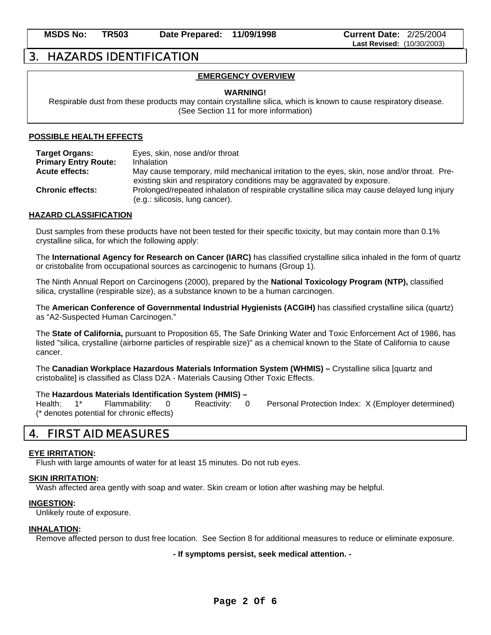### **3. HAZARDS IDENTIFICATION**

### **EMERGENCY OVERVIEW**

#### **WARNING!**

 Respirable dust from these products may contain crystalline silica, which is known to cause respiratory disease. (See Section 11 for more information)

#### **POSSIBLE HEALTH EFFECTS**

| <b>Target Organs:</b>       | Eyes, skin, nose and/or throat                                                                                                                                         |
|-----------------------------|------------------------------------------------------------------------------------------------------------------------------------------------------------------------|
| <b>Primary Entry Route:</b> | Inhalation                                                                                                                                                             |
| <b>Acute effects:</b>       | May cause temporary, mild mechanical irritation to the eyes, skin, nose and/or throat. Pre-<br>existing skin and respiratory conditions may be aggravated by exposure. |
| <b>Chronic effects:</b>     | Prolonged/repeated inhalation of respirable crystalline silica may cause delayed lung injury<br>(e.g.: silicosis, lung cancer).                                        |

#### **HAZARD CLASSIFICATION**

Dust samples from these products have not been tested for their specific toxicity, but may contain more than 0.1% crystalline silica, for which the following apply:

The **International Agency for Research on Cancer (IARC)** has classified crystalline silica inhaled in the form of quartz or cristobalite from occupational sources as carcinogenic to humans (Group 1).

The Ninth Annual Report on Carcinogens (2000), prepared by the **National Toxicology Program (NTP),** classified silica, crystalline (respirable size), as a substance known to be a human carcinogen.

The **American Conference of Governmental Industrial Hygienists (ACGIH)** has classified crystalline silica (quartz) as "A2-Suspected Human Carcinogen."

The **State of California,** pursuant to Proposition 65, The Safe Drinking Water and Toxic Enforcement Act of 1986, has listed "silica, crystalline (airborne particles of respirable size)" as a chemical known to the State of California to cause cancer.

The **Canadian Workplace Hazardous Materials Information System (WHMIS) –** Crystalline silica [quartz and cristobalite] is classified as Class D2A - Materials Causing Other Toxic Effects.

#### The **Hazardous Materials Identification System (HMIS) –**

Health: 1\* Flammability: 0 Reactivity: 0 Personal Protection Index: X (Employer determined) (\* denotes potential for chronic effects)

### **4. FIRST AID MEASURES**

#### **EYE IRRITATION:**

Flush with large amounts of water for at least 15 minutes. Do not rub eyes.

#### **SKIN IRRITATION:**

Wash affected area gently with soap and water. Skin cream or lotion after washing may be helpful.

#### **INGESTION:**

Unlikely route of exposure.

#### **INHALATION:**

Remove affected person to dust free location. See Section 8 for additional measures to reduce or eliminate exposure.

**- If symptoms persist, seek medical attention. -**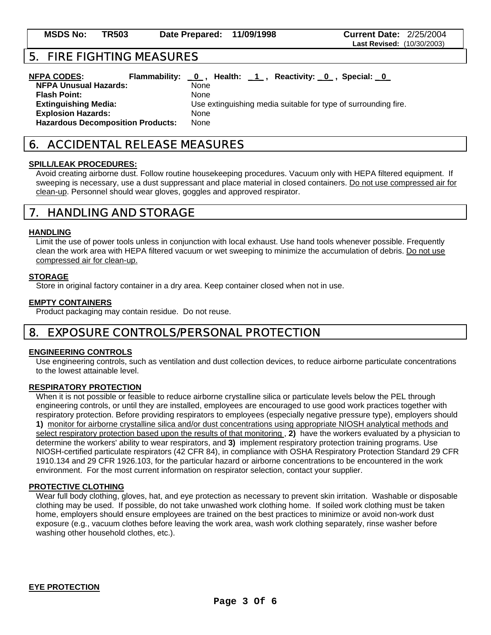### **6. ACCIDENTAL RELEASE MEASURES**

#### **SPILL/LEAK PROCEDURES:**

Avoid creating airborne dust. Follow routine housekeeping procedures. Vacuum only with HEPA filtered equipment. If sweeping is necessary, use a dust suppressant and place material in closed containers. Do not use compressed air for clean-up. Personnel should wear gloves, goggles and approved respirator.

### **7. HANDLING AND STORAGE**

#### **HANDLING**

Limit the use of power tools unless in conjunction with local exhaust. Use hand tools whenever possible. Frequently clean the work area with HEPA filtered vacuum or wet sweeping to minimize the accumulation of debris. Do not use compressed air for clean-up.

#### **STORAGE**

Store in original factory container in a dry area. Keep container closed when not in use.

#### **EMPTY CONTAINERS**

Product packaging may contain residue. Do not reuse.

### **8. EXPOSURE CONTROLS/PERSONAL PROTECTION**

#### **ENGINEERING CONTROLS**

Use engineering controls, such as ventilation and dust collection devices, to reduce airborne particulate concentrations to the lowest attainable level.

#### **RESPIRATORY PROTECTION**

When it is not possible or feasible to reduce airborne crystalline silica or particulate levels below the PEL through engineering controls, or until they are installed, employees are encouraged to use good work practices together with respiratory protection. Before providing respirators to employees (especially negative pressure type), employers should **1)** monitor for airborne crystalline silica and/or dust concentrations using appropriate NIOSH analytical methods and select respiratory protection based upon the results of that monitoring , **2)** have the workers evaluated by a physician to determine the workers' ability to wear respirators, and **3)** implement respiratory protection training programs. Use NIOSH-certified particulate respirators (42 CFR 84), in compliance with OSHA Respiratory Protection Standard 29 CFR 1910.134 and 29 CFR 1926.103, for the particular hazard or airborne concentrations to be encountered in the work environment. For the most current information on respirator selection, contact your supplier.

#### **PROTECTIVE CLOTHING**

Wear full body clothing, gloves, hat, and eye protection as necessary to prevent skin irritation. Washable or disposable clothing may be used. If possible, do not take unwashed work clothing home. If soiled work clothing must be taken home, employers should ensure employees are trained on the best practices to minimize or avoid non-work dust exposure (e.g., vacuum clothes before leaving the work area, wash work clothing separately, rinse washer before washing other household clothes, etc.).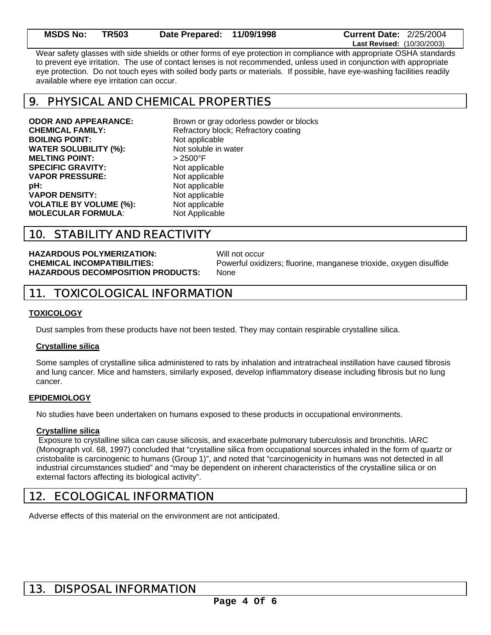| <b>MSDS No: TR503</b> | Date Prepared: 11/09/1998 | <b>Current Date: 2/25/2004</b>    |
|-----------------------|---------------------------|-----------------------------------|
|                       |                           | <b>Last Revised: (10/30/2003)</b> |

Wear safety glasses with side shields or other forms of eye protection in compliance with appropriate OSHA standards to prevent eye irritation. The use of contact lenses is not recommended, unless used in conjunction with appropriate eye protection. Do not touch eyes with soiled body parts or materials. If possible, have eye-washing facilities readily available where eye irritation can occur.

### **9. PHYSICAL AND CHEMICAL PROPERTIES**

**BOILING POINT:** Not applicable **WATER SOLUBILITY (%):** Not soluble in water **MELTING POINT:** > 2500°F **SPECIFIC GRAVITY:** Not applicable **VAPOR PRESSURE:** Not applicable **pH:** Not applicable **VAPOR DENSITY:** Not applicable **VOLATILE BY VOLUME (%):** Not applicable **MOLECULAR FORMULA:** Not Applicable

**ODOR AND APPEARANCE:** Brown or gray odorless powder or blocks **CHEMICAL FAMILY:** Refractory block; Refractory coating

## **10. STABILITY AND REACTIVITY**

**HAZARDOUS POLYMERIZATION:** Will not occur **HAZARDOUS DECOMPOSITION PRODUCTS:** None

**CHEMICAL INCOMPATIBILITIES:** Powerful oxidizers; fluorine, manganese trioxide, oxygen disulfide

### **11. TOXICOLOGICAL INFORMATION**

#### **TOXICOLOGY**

Dust samples from these products have not been tested. They may contain respirable crystalline silica.

#### **Crystalline silica**

Some samples of crystalline silica administered to rats by inhalation and intratracheal instillation have caused fibrosis and lung cancer. Mice and hamsters, similarly exposed, develop inflammatory disease including fibrosis but no lung cancer.

#### **EPIDEMIOLOGY**

No studies have been undertaken on humans exposed to these products in occupational environments.

#### **Crystalline silica**

 Exposure to crystalline silica can cause silicosis, and exacerbate pulmonary tuberculosis and bronchitis. IARC (Monograph vol. 68, 1997) concluded that "crystalline silica from occupational sources inhaled in the form of quartz or cristobalite is carcinogenic to humans (Group 1)", and noted that "carcinogenicity in humans was not detected in all industrial circumstances studied" and "may be dependent on inherent characteristics of the crystalline silica or on external factors affecting its biological activity".

### **12. ECOLOGICAL INFORMATION**

Adverse effects of this material on the environment are not anticipated.

### **13. DISPOSAL INFORMATION**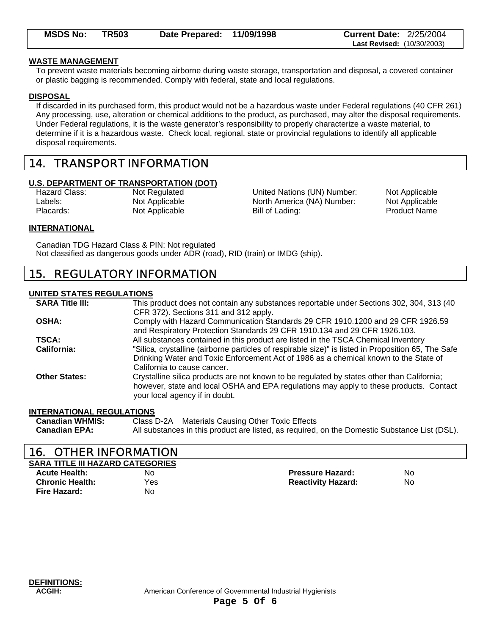| <b>MSDS No:</b> | <b>TR503</b> | Date Prepared: 11/09/1998 | <b>Current Date: 2/25/2004</b>    |  |
|-----------------|--------------|---------------------------|-----------------------------------|--|
|                 |              |                           | <b>Last Revised: (10/30/2003)</b> |  |

#### **WASTE MANAGEMENT**

To prevent waste materials becoming airborne during waste storage, transportation and disposal, a covered container or plastic bagging is recommended. Comply with federal, state and local regulations.

#### **DISPOSAL**

If discarded in its purchased form, this product would not be a hazardous waste under Federal regulations (40 CFR 261) Any processing, use, alteration or chemical additions to the product, as purchased, may alter the disposal requirements. Under Federal regulations, it is the waste generator's responsibility to properly characterize a waste material, to determine if it is a hazardous waste. Check local, regional, state or provincial regulations to identify all applicable disposal requirements.

### **14. TRANSPORT INFORMATION**

#### **U.S. DEPARTMENT OF TRANSPORTATION (DOT)**

Hazard Class: Not Regulated United Nations (UN) Number: Not Applicable Labels: Not Applicable Not Applicable North America (NA) Number: Not Applicable Placards: Not Applicable Bill of Lading: Placards: Product Name

#### **INTERNATIONAL**

Canadian TDG Hazard Class & PIN: Not regulated Not classified as dangerous goods under ADR (road), RID (train) or IMDG (ship).

### **15. REGULATORY INFORMATION**

#### **UNITED STATES REGULATIONS**

| <b>SARA Title III:</b> | This product does not contain any substances reportable under Sections 302, 304, 313 (40            |
|------------------------|-----------------------------------------------------------------------------------------------------|
|                        | CFR 372). Sections 311 and 312 apply.                                                               |
| <b>OSHA:</b>           | Comply with Hazard Communication Standards 29 CFR 1910.1200 and 29 CFR 1926.59                      |
|                        | and Respiratory Protection Standards 29 CFR 1910.134 and 29 CFR 1926.103.                           |
| <b>TSCA:</b>           | All substances contained in this product are listed in the TSCA Chemical Inventory                  |
| California:            | "Silica, crystalline (airborne particles of respirable size)" is listed in Proposition 65, The Safe |
|                        | Drinking Water and Toxic Enforcement Act of 1986 as a chemical known to the State of                |
|                        | California to cause cancer.                                                                         |
| <b>Other States:</b>   | Crystalline silica products are not known to be regulated by states other than California;          |
|                        | however, state and local OSHA and EPA regulations may apply to these products. Contact              |
|                        | your local agency if in doubt.                                                                      |
|                        |                                                                                                     |

#### **INTERNATIONAL REGULATIONS**

| <b>Canadian WHMIS:</b> | Class D-2A Materials Causing Other Toxic Effects                                              |
|------------------------|-----------------------------------------------------------------------------------------------|
| <b>Canadian EPA:</b>   | All substances in this product are listed, as required, on the Domestic Substance List (DSL). |

### **16. OTHER INFORMATION**

**SARA TITLE III HAZARD CATEGORIES Acute Health:** No **Pressure Hazard:** No **Chronic Health:** Yes **Reactivity Hazard:** No **Fire Hazard:** No